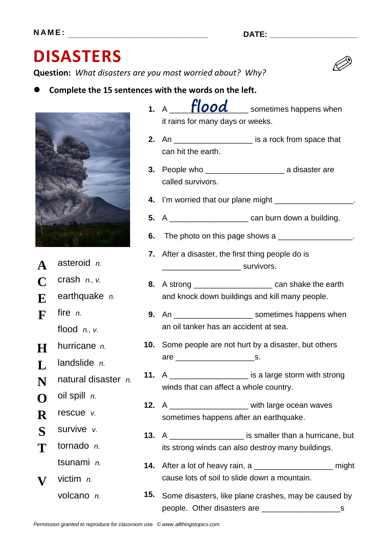## **DISASTERS**

**Question:** *What disasters are you most worried about? Why?*

**Complete the 15 sentences with the words on the left.**



- **2.** An \_\_\_\_\_\_\_\_\_\_\_\_\_\_\_\_\_\_ is a rock from space that can hit the earth.
- **3.** People who \_\_\_\_\_\_\_\_\_\_\_\_\_\_\_\_\_\_ a disaster are called survivors.
- **4.** I'm worried that our plane might \_\_\_\_\_\_\_\_\_\_\_\_\_\_\_\_\_\_\_.
- **5.** A \_\_\_\_\_\_\_\_\_\_\_\_\_\_\_\_\_\_ can burn down a building.
- **6.** The photo on this page shows a \_\_\_\_\_\_\_\_\_\_\_\_\_\_\_\_\_\_.
- **7.** After a disaster, the first thing people do is \_\_\_\_\_\_\_\_\_\_\_\_\_\_\_\_\_\_ survivors.
- **8.** A strong \_\_\_\_\_\_\_\_\_\_\_\_\_\_\_\_\_\_ can shake the earth and knock down buildings and kill many people.
- **9.** An \_\_\_\_\_\_\_\_\_\_\_\_\_\_\_\_\_\_\_\_\_\_ sometimes happens when an oil tanker has an accident at sea.
- **10.** Some people are not hurt by a disaster, but others are \_\_\_\_\_\_\_\_\_\_\_\_\_\_\_\_\_\_s.
- **11.** A \_\_\_\_\_\_\_\_\_\_\_\_\_\_\_\_\_\_\_\_\_ is a large storm with strong winds that can affect a whole country.
- **12.** A \_\_\_\_\_\_\_\_\_\_\_\_\_\_\_\_\_\_ with large ocean waves sometimes happens after an earthquake.
- **13.** A \_\_\_\_\_\_\_\_\_\_\_\_\_\_\_\_\_ is smaller than a hurricane, but its strong winds can also destroy many buildings.
- **14.** After a lot of heavy rain, a \_\_\_\_\_\_\_\_\_\_\_\_\_\_\_\_\_\_ might cause lots of soil to slide down a mountain.
- **15.** Some disasters, like plane crashes, may be caused by people. Other disasters are \_\_\_\_\_\_\_\_\_\_\_\_\_\_\_\_\_\_s



- **A** asteroid *n.*
- **C** crash *n., v.*
- **E** earthquake *n.*
- **F** fire *n.* flood *n., v.*
- **H** hurricane *n.*
- 
- **L** landslide *n.*
- **N** natural disaster *n.*
- **O** oil spill *n.*
- **R** rescue *v.*
- **S** survive *v.*
- **T** tornado *n.* tsunami *n.*
- **V** victim *n.*
	- volcano *n.*